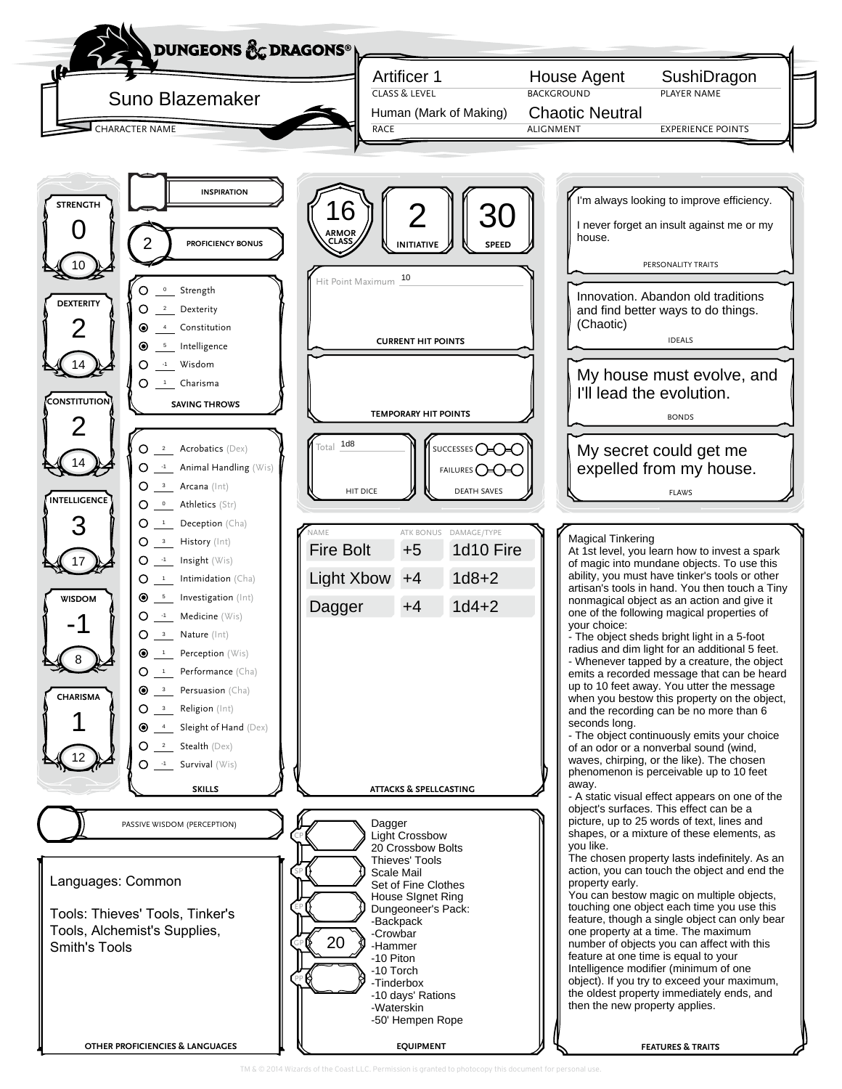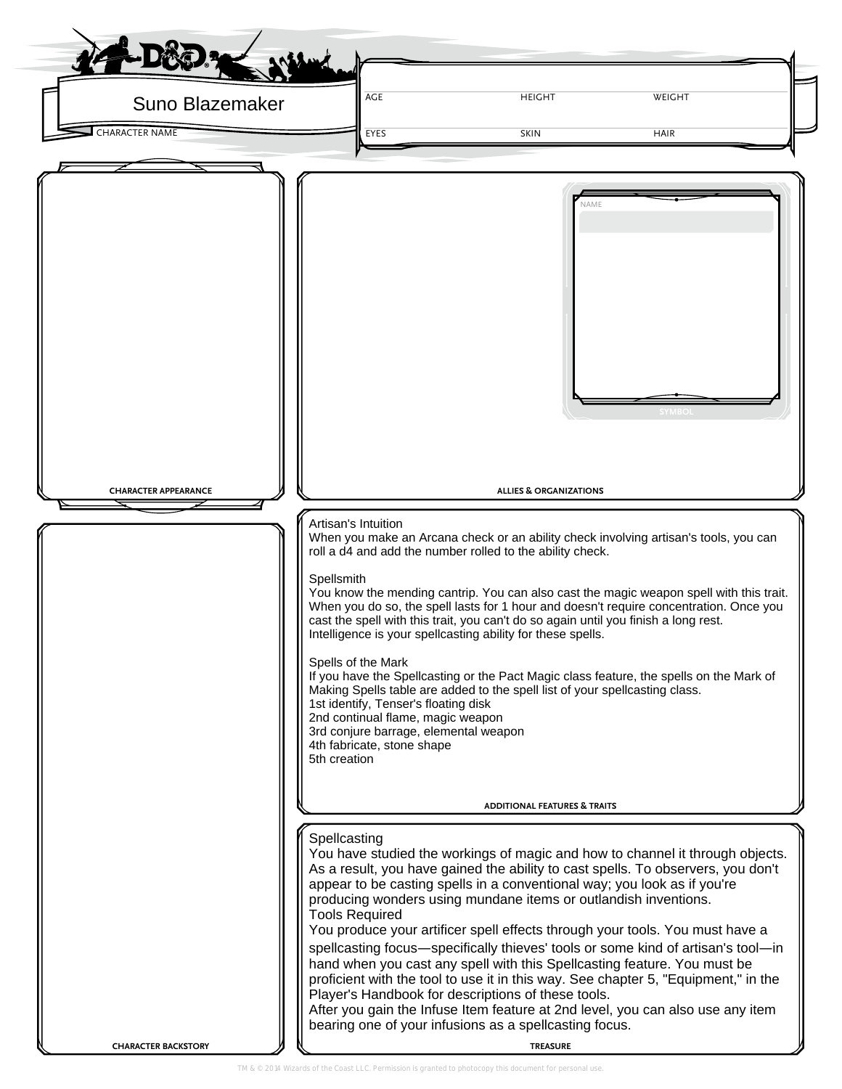| Suno Blazemaker<br><b>CHARACTER NAME</b> | AGE<br><b>EYES</b>                                                                                                                                                                                                                                                                                                                                                                                                                                                                                                                                                                                                                                                                                                                                                                                                                                                                                | <b>HEIGHT</b><br><b>SKIN</b>                                                                                                                                                                                                                                                                                                                                                                                                                                                                                                                                                                                                                                                                                                                                                                                                                                          | WEIGHT        |  |  |  |  |
|------------------------------------------|---------------------------------------------------------------------------------------------------------------------------------------------------------------------------------------------------------------------------------------------------------------------------------------------------------------------------------------------------------------------------------------------------------------------------------------------------------------------------------------------------------------------------------------------------------------------------------------------------------------------------------------------------------------------------------------------------------------------------------------------------------------------------------------------------------------------------------------------------------------------------------------------------|-----------------------------------------------------------------------------------------------------------------------------------------------------------------------------------------------------------------------------------------------------------------------------------------------------------------------------------------------------------------------------------------------------------------------------------------------------------------------------------------------------------------------------------------------------------------------------------------------------------------------------------------------------------------------------------------------------------------------------------------------------------------------------------------------------------------------------------------------------------------------|---------------|--|--|--|--|
|                                          |                                                                                                                                                                                                                                                                                                                                                                                                                                                                                                                                                                                                                                                                                                                                                                                                                                                                                                   |                                                                                                                                                                                                                                                                                                                                                                                                                                                                                                                                                                                                                                                                                                                                                                                                                                                                       | <b>HAIR</b>   |  |  |  |  |
|                                          |                                                                                                                                                                                                                                                                                                                                                                                                                                                                                                                                                                                                                                                                                                                                                                                                                                                                                                   | NAME                                                                                                                                                                                                                                                                                                                                                                                                                                                                                                                                                                                                                                                                                                                                                                                                                                                                  | <b>SYMBOL</b> |  |  |  |  |
| <b>CHARACTER APPEARANCE</b>              |                                                                                                                                                                                                                                                                                                                                                                                                                                                                                                                                                                                                                                                                                                                                                                                                                                                                                                   | <b>ALLIES &amp; ORGANIZATIONS</b>                                                                                                                                                                                                                                                                                                                                                                                                                                                                                                                                                                                                                                                                                                                                                                                                                                     |               |  |  |  |  |
|                                          | Artisan's Intuition<br>Spellsmith<br>Spells of the Mark<br>5th creation                                                                                                                                                                                                                                                                                                                                                                                                                                                                                                                                                                                                                                                                                                                                                                                                                           | When you make an Arcana check or an ability check involving artisan's tools, you can<br>roll a d4 and add the number rolled to the ability check.<br>You know the mending cantrip. You can also cast the magic weapon spell with this trait.<br>When you do so, the spell lasts for 1 hour and doesn't require concentration. Once you<br>cast the spell with this trait, you can't do so again until you finish a long rest.<br>Intelligence is your spellcasting ability for these spells.<br>If you have the Spellcasting or the Pact Magic class feature, the spells on the Mark of<br>Making Spells table are added to the spell list of your spellcasting class.<br>1st identify, Tenser's floating disk<br>2nd continual flame, magic weapon<br>3rd conjure barrage, elemental weapon<br>4th fabricate, stone shape<br><b>ADDITIONAL FEATURES &amp; TRAITS</b> |               |  |  |  |  |
|                                          | Spellcasting<br>You have studied the workings of magic and how to channel it through objects.<br>As a result, you have gained the ability to cast spells. To observers, you don't<br>appear to be casting spells in a conventional way; you look as if you're<br>producing wonders using mundane items or outlandish inventions.<br><b>Tools Required</b><br>You produce your artificer spell effects through your tools. You must have a<br>spellcasting focus-specifically thieves' tools or some kind of artisan's tool-in<br>hand when you cast any spell with this Spellcasting feature. You must be<br>proficient with the tool to use it in this way. See chapter 5, "Equipment," in the<br>Player's Handbook for descriptions of these tools.<br>After you gain the Infuse Item feature at 2nd level, you can also use any item<br>bearing one of your infusions as a spellcasting focus. |                                                                                                                                                                                                                                                                                                                                                                                                                                                                                                                                                                                                                                                                                                                                                                                                                                                                       |               |  |  |  |  |